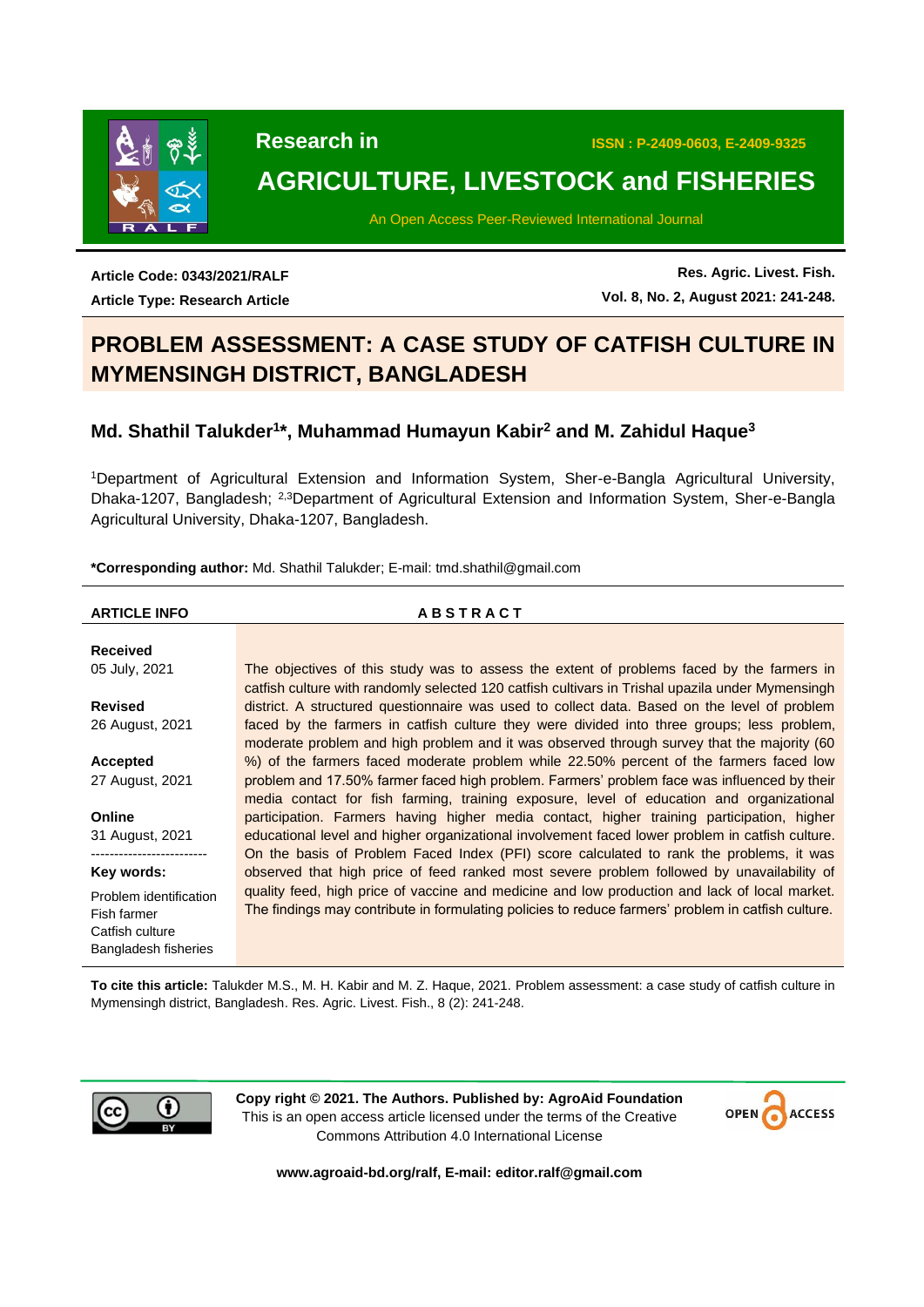

# **AGRICULTURE, LIVESTOCK and FISHERIES**

An Open Access Peer-Reviewed International Journal

**Article Code: 0343/2021/RALF Article Type: Research Article**

**Res. Agric. Livest. Fish. Vol. 8, No. 2, August 2021: 241-248.**

# **PROBLEM ASSESSMENT: A CASE STUDY OF CATFISH CULTURE IN MYMENSINGH DISTRICT, BANGLADESH**

# **Md. Shathil Talukder<sup>1</sup> \*, Muhammad Humayun Kabir<sup>2</sup> and M. Zahidul Haque<sup>3</sup>**

<sup>1</sup>Department of Agricultural Extension and Information System, Sher-e-Bangla Agricultural University, Dhaka-1207, Bangladesh; 2,3Department of Agricultural Extension and Information System, Sher-e-Bangla Agricultural University, Dhaka-1207, Bangladesh.

**\*Corresponding author:** Md. Shathil Talukder; E-mail: tmd.shathil@gmail.com

### **ARTICLE INFO A B S T R A C T**

**Received** 05 July, 2021 **Revised** 26 August, 2021 **Accepted** 27 August, 2021 **Online** 31 August, 2021 ------------------------- **Key words:** Problem identification Fish farmer Catfish culture Bangladesh fisheries The objectives of this study was to assess the extent of problems faced by the farmers in catfish culture with randomly selected 120 catfish cultivars in Trishal upazila under Mymensingh district. A structured questionnaire was used to collect data. Based on the level of problem faced by the farmers in catfish culture they were divided into three groups; less problem, moderate problem and high problem and it was observed through survey that the majority (60 %) of the farmers faced moderate problem while 22.50% percent of the farmers faced low problem and 17.50% farmer faced high problem. Farmers' problem face was influenced by their media contact for fish farming, training exposure, level of education and organizational participation. Farmers having higher media contact, higher training participation, higher educational level and higher organizational involvement faced lower problem in catfish culture. On the basis of Problem Faced Index (PFI) score calculated to rank the problems, it was observed that high price of feed ranked most severe problem followed by unavailability of quality feed, high price of vaccine and medicine and low production and lack of local market. The findings may contribute in formulating policies to reduce farmers' problem in catfish culture.

**To cite this article:** Talukder M.S., M. H. Kabir and M. Z. Haque, 2021. Problem assessment: a case study of catfish culture in Mymensingh district, Bangladesh. Res. Agric. Livest. Fish., 8 (2): 241-248.



**Copy right © 2021. The Authors. Published by: AgroAid Foundation** This is an open access article licensed under the terms of the Creative Commons Attribution 4.0 International License



**[www.agroaid-bd.org/ralf,](http://www.agroaid-bd.org/ralf) E-mail: [editor.ralf@gmail.com](mailto:editor.ralf@gmail.com)**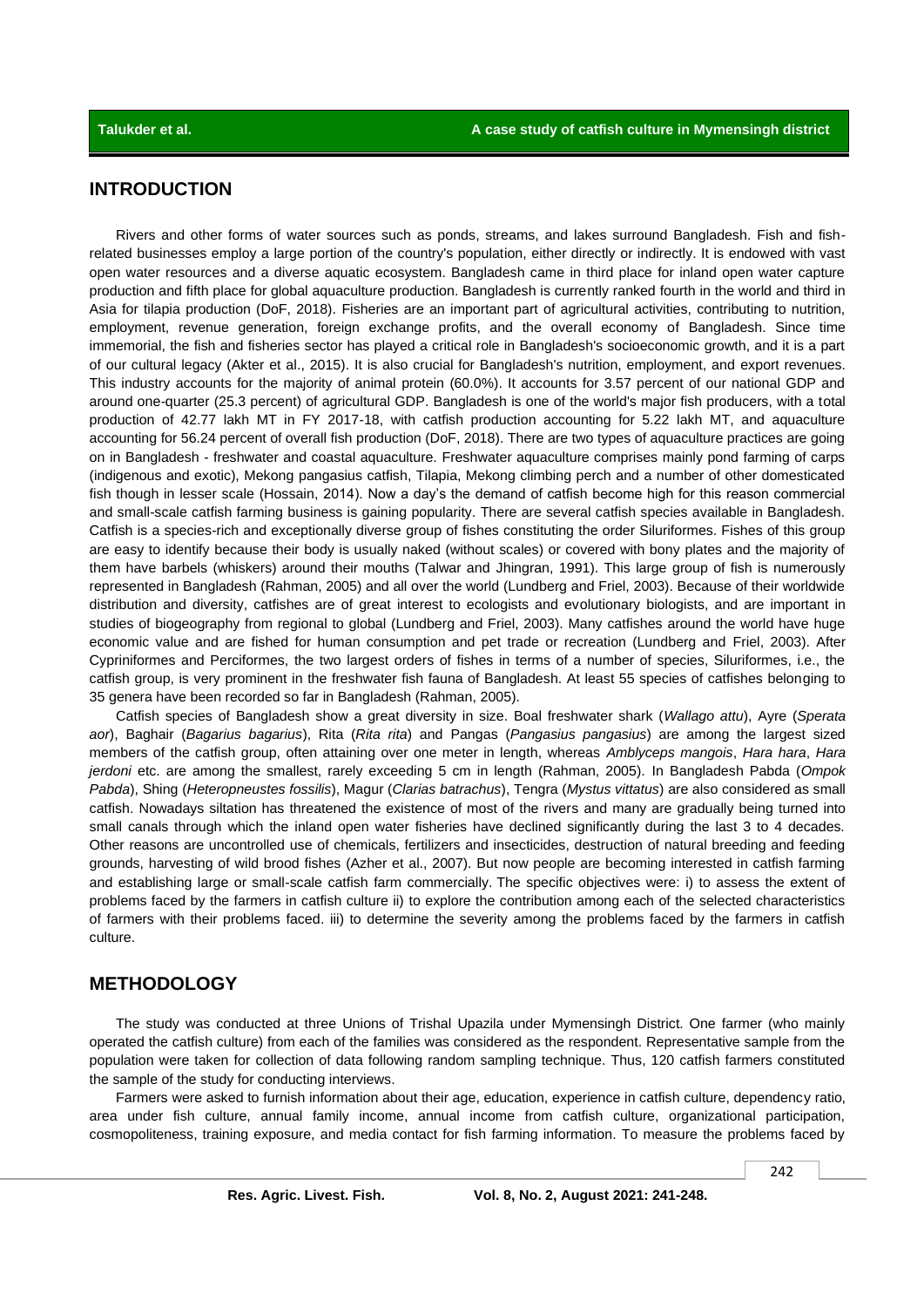# **INTRODUCTION**

Rivers and other forms of water sources such as ponds, streams, and lakes surround Bangladesh. Fish and fishrelated businesses employ a large portion of the country's population, either directly or indirectly. It is endowed with vast open water resources and a diverse aquatic ecosystem. Bangladesh came in third place for inland open water capture production and fifth place for global aquaculture production. Bangladesh is currently ranked fourth in the world and third in Asia for tilapia production (DoF, 2018). Fisheries are an important part of agricultural activities, contributing to nutrition, employment, revenue generation, foreign exchange profits, and the overall economy of Bangladesh. Since time immemorial, the fish and fisheries sector has played a critical role in Bangladesh's socioeconomic growth, and it is a part of our cultural legacy (Akter et al., 2015). It is also crucial for Bangladesh's nutrition, employment, and export revenues. This industry accounts for the majority of animal protein (60.0%). It accounts for 3.57 percent of our national GDP and around one-quarter (25.3 percent) of agricultural GDP. Bangladesh is one of the world's major fish producers, with a total production of 42.77 lakh MT in FY 2017-18, with catfish production accounting for 5.22 lakh MT, and aquaculture accounting for 56.24 percent of overall fish production (DoF, 2018). There are two types of aquaculture practices are going on in Bangladesh - freshwater and coastal aquaculture. Freshwater aquaculture comprises mainly pond farming of carps (indigenous and exotic), Mekong pangasius catfish, Tilapia, Mekong climbing perch and a number of other domesticated fish though in lesser scale (Hossain, 2014). Now a day's the demand of catfish become high for this reason commercial and small-scale catfish farming business is gaining popularity. There are several catfish species available in Bangladesh. Catfish is a species-rich and exceptionally diverse group of fishes constituting the order Siluriformes. Fishes of this group are easy to identify because their body is usually naked (without scales) or covered with bony plates and the majority of them have barbels (whiskers) around their mouths (Talwar and Jhingran, 1991). This large group of fish is numerously represented in Bangladesh (Rahman, 2005) and all over the world (Lundberg and Friel, 2003). Because of their worldwide distribution and diversity, catfishes are of great interest to ecologists and evolutionary biologists, and are important in studies of biogeography from regional to global (Lundberg and Friel, 2003). Many catfishes around the world have huge economic value and are fished for human consumption and pet trade or recreation (Lundberg and Friel, 2003). After Cypriniformes and Perciformes, the two largest orders of fishes in terms of a number of species, Siluriformes, i.e., the catfish group, is very prominent in the freshwater fish fauna of Bangladesh. At least 55 species of catfishes belonging to 35 genera have been recorded so far in Bangladesh (Rahman, 2005).

Catfish species of Bangladesh show a great diversity in size. Boal freshwater shark (*Wallago attu*), Ayre (*Sperata aor*), Baghair (*Bagarius bagarius*), Rita (*Rita rita*) and Pangas (*Pangasius pangasius*) are among the largest sized members of the catfish group, often attaining over one meter in length, whereas *Amblyceps mangois*, *Hara hara*, *Hara jerdoni* etc. are among the smallest, rarely exceeding 5 cm in length (Rahman, 2005). In Bangladesh Pabda (*Ompok Pabda*), Shing (*Heteropneustes fossilis*), Magur (*Clarias batrachus*), Tengra (*Mystus vittatus*) are also considered as small catfish. Nowadays siltation has threatened the existence of most of the rivers and many are gradually being turned into small canals through which the inland open water fisheries have declined significantly during the last 3 to 4 decades. Other reasons are uncontrolled use of chemicals, fertilizers and insecticides, destruction of natural breeding and feeding grounds, harvesting of wild brood fishes (Azher et al., 2007). But now people are becoming interested in catfish farming and establishing large or small-scale catfish farm commercially. The specific objectives were: i) to assess the extent of problems faced by the farmers in catfish culture ii) to explore the contribution among each of the selected characteristics of farmers with their problems faced. iii) to determine the severity among the problems faced by the farmers in catfish culture.

## **METHODOLOGY**

The study was conducted at three Unions of Trishal Upazila under Mymensingh District. One farmer (who mainly operated the catfish culture) from each of the families was considered as the respondent. Representative sample from the population were taken for collection of data following random sampling technique. Thus, 120 catfish farmers constituted the sample of the study for conducting interviews.

Farmers were asked to furnish information about their age, education, experience in catfish culture, dependency ratio, area under fish culture, annual family income, annual income from catfish culture, organizational participation, cosmopoliteness, training exposure, and media contact for fish farming information. To measure the problems faced by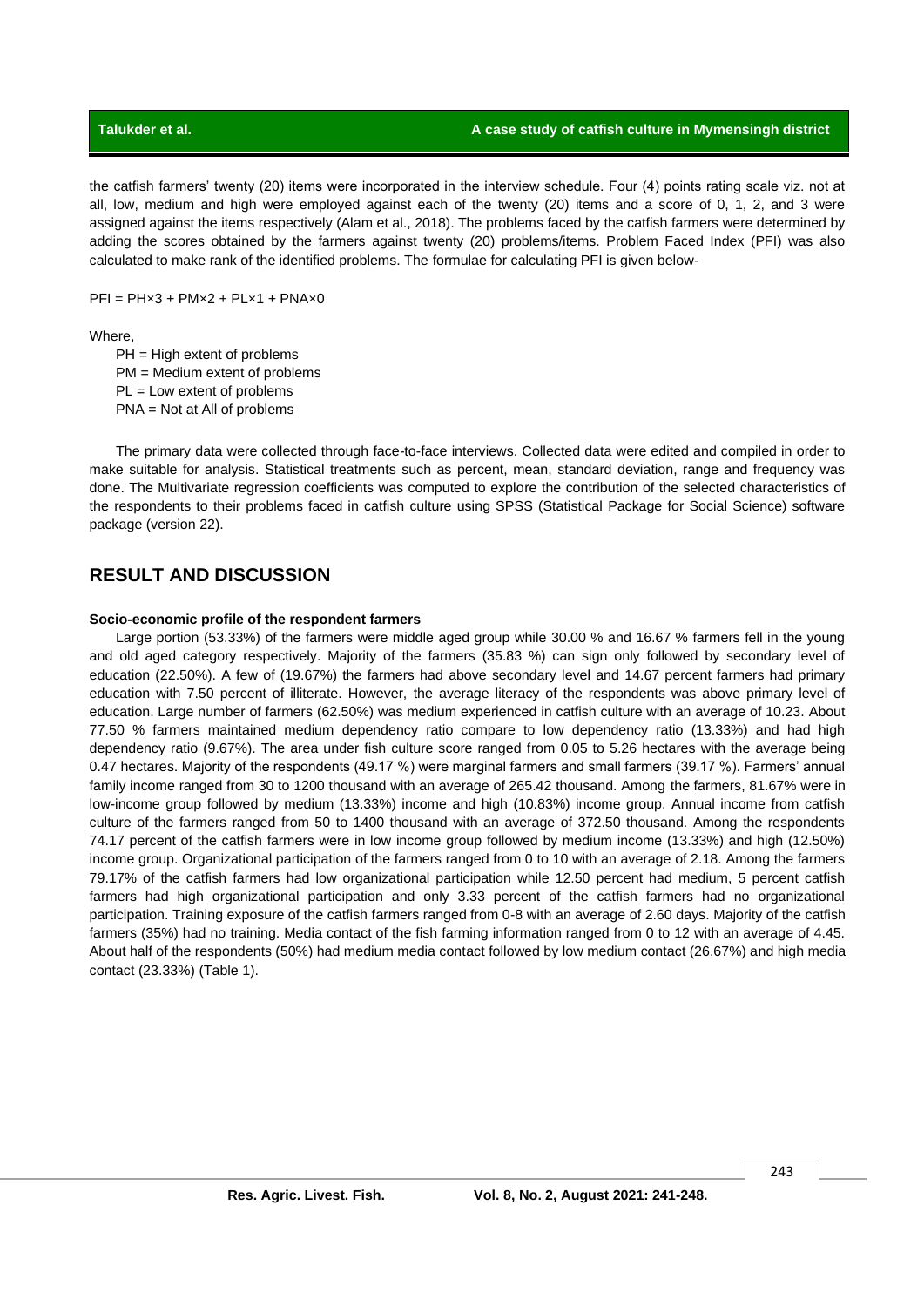the catfish farmers' twenty (20) items were incorporated in the interview schedule. Four (4) points rating scale viz. not at all, low, medium and high were employed against each of the twenty (20) items and a score of 0, 1, 2, and 3 were assigned against the items respectively (Alam et al., 2018). The problems faced by the catfish farmers were determined by adding the scores obtained by the farmers against twenty (20) problems/items. Problem Faced Index (PFI) was also calculated to make rank of the identified problems. The formulae for calculating PFI is given below-

 $PFI = PHx3 + PMx2 + PLx1 + PNAx0$ 

Where,

PH = High extent of problems PM = Medium extent of problems PL = Low extent of problems PNA = Not at All of problems

The primary data were collected through face-to-face interviews. Collected data were edited and compiled in order to make suitable for analysis. Statistical treatments such as percent, mean, standard deviation, range and frequency was done. The Multivariate regression coefficients was computed to explore the contribution of the selected characteristics of the respondents to their problems faced in catfish culture using SPSS (Statistical Package for Social Science) software package (version 22).

# **RESULT AND DISCUSSION**

### **Socio-economic profile of the respondent farmers**

Large portion (53.33%) of the farmers were middle aged group while 30.00 % and 16.67 % farmers fell in the young and old aged category respectively. Majority of the farmers (35.83 %) can sign only followed by secondary level of education (22.50%). A few of (19.67%) the farmers had above secondary level and 14.67 percent farmers had primary education with 7.50 percent of illiterate. However, the average literacy of the respondents was above primary level of education. Large number of farmers (62.50%) was medium experienced in catfish culture with an average of 10.23. About 77.50 % farmers maintained medium dependency ratio compare to low dependency ratio (13.33%) and had high dependency ratio (9.67%). The area under fish culture score ranged from 0.05 to 5.26 hectares with the average being 0.47 hectares. Majority of the respondents (49.17 %) were marginal farmers and small farmers (39.17 %). Farmers' annual family income ranged from 30 to 1200 thousand with an average of 265.42 thousand. Among the farmers, 81.67% were in low-income group followed by medium (13.33%) income and high (10.83%) income group. Annual income from catfish culture of the farmers ranged from 50 to 1400 thousand with an average of 372.50 thousand. Among the respondents 74.17 percent of the catfish farmers were in low income group followed by medium income (13.33%) and high (12.50%) income group. Organizational participation of the farmers ranged from 0 to 10 with an average of 2.18. Among the farmers 79.17% of the catfish farmers had low organizational participation while 12.50 percent had medium, 5 percent catfish farmers had high organizational participation and only 3.33 percent of the catfish farmers had no organizational participation. Training exposure of the catfish farmers ranged from 0-8 with an average of 2.60 days. Majority of the catfish farmers (35%) had no training. Media contact of the fish farming information ranged from 0 to 12 with an average of 4.45. About half of the respondents (50%) had medium media contact followed by low medium contact (26.67%) and high media contact (23.33%) (Table 1).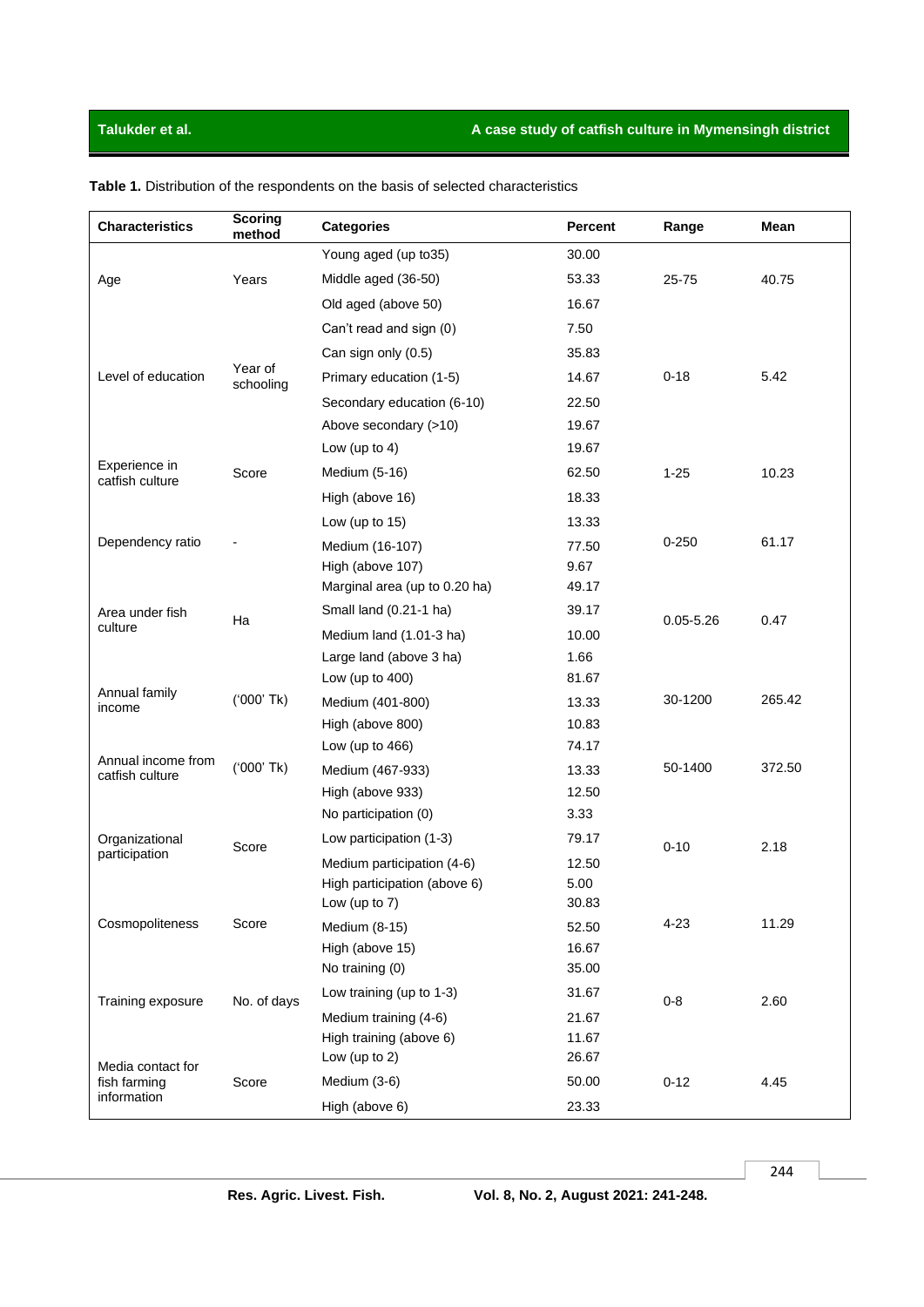# **Talukder et al. A case study of catfish culture in Mymensingh district**

| <b>Characteristics</b>                | <b>Scoring</b><br>method | <b>Categories</b>                                | <b>Percent</b> | Range         | Mean   |
|---------------------------------------|--------------------------|--------------------------------------------------|----------------|---------------|--------|
| Age                                   | Years                    | Young aged (up to 35)                            | 30.00          |               |        |
|                                       |                          | Middle aged (36-50)                              | 53.33          | 25-75         | 40.75  |
|                                       |                          | Old aged (above 50)                              | 16.67          |               |        |
| Level of education                    |                          | Can't read and sign (0)                          | 7.50           |               |        |
|                                       |                          | Can sign only (0.5)                              | 35.83          |               |        |
|                                       | Year of<br>schooling     | Primary education (1-5)                          | 14.67          | $0 - 18$      | 5.42   |
|                                       |                          | Secondary education (6-10)                       | 22.50          |               |        |
|                                       |                          | Above secondary (>10)                            | 19.67          |               |        |
|                                       |                          | Low (up to 4)                                    | 19.67          |               |        |
| Experience in<br>catfish culture      | Score                    | Medium (5-16)                                    | 62.50          | $1 - 25$      | 10.23  |
|                                       |                          | High (above 16)                                  | 18.33          |               |        |
|                                       |                          | Low (up to $15$ )                                | 13.33          |               | 61.17  |
| Dependency ratio                      |                          | Medium (16-107)                                  | 77.50          | $0 - 250$     |        |
|                                       |                          | High (above 107)                                 | 9.67           |               |        |
|                                       | Ha                       | Marginal area (up to 0.20 ha)                    | 49.17          |               |        |
| Area under fish                       |                          | Small land (0.21-1 ha)                           | 39.17          | $0.05 - 5.26$ | 0.47   |
| culture                               |                          | Medium land (1.01-3 ha)                          | 10.00          |               |        |
|                                       |                          | Large land (above 3 ha)                          | 1.66           |               |        |
| Annual family                         | ('000' Tk)               | Low (up to $400$ )                               | 81.67          |               |        |
| income                                |                          | Medium (401-800)                                 | 13.33          | 30-1200       | 265.42 |
|                                       |                          | High (above 800)                                 | 10.83          |               |        |
| Annual income from<br>catfish culture | $(000'$ Tk)              | Low (up to $466$ )                               | 74.17          |               |        |
|                                       |                          | Medium (467-933)                                 | 13.33          | 50-1400       | 372.50 |
|                                       |                          | High (above 933)                                 | 12.50          |               |        |
| Organizational<br>participation       | Score                    | No participation (0)                             | 3.33           |               |        |
|                                       |                          | Low participation (1-3)                          | 79.17          | $0 - 10$      | 2.18   |
|                                       |                          | Medium participation (4-6)                       | 12.50          |               |        |
|                                       |                          | High participation (above 6)                     | 5.00           |               |        |
| Cosmopoliteness                       | Score                    | Low (up to $7$ )                                 | 30.83          | $4 - 23$      | 11.29  |
|                                       |                          | Medium (8-15)                                    | 52.50          |               |        |
|                                       |                          | High (above 15)<br>No training (0)               | 16.67<br>35.00 |               |        |
| Training exposure                     | No. of days              | Low training (up to 1-3)                         | 31.67          |               | 2.60   |
|                                       |                          |                                                  |                | $0 - 8$       |        |
|                                       |                          | Medium training (4-6)<br>High training (above 6) | 21.67<br>11.67 |               |        |
|                                       |                          | Low (up to $2$ )                                 | 26.67          |               |        |
| Media contact for<br>fish farming     | Score                    | Medium (3-6)                                     | 50.00          | $0 - 12$      | 4.45   |
| information                           |                          | High (above 6)                                   | 23.33          |               |        |

**Table 1.** Distribution of the respondents on the basis of selected characteristics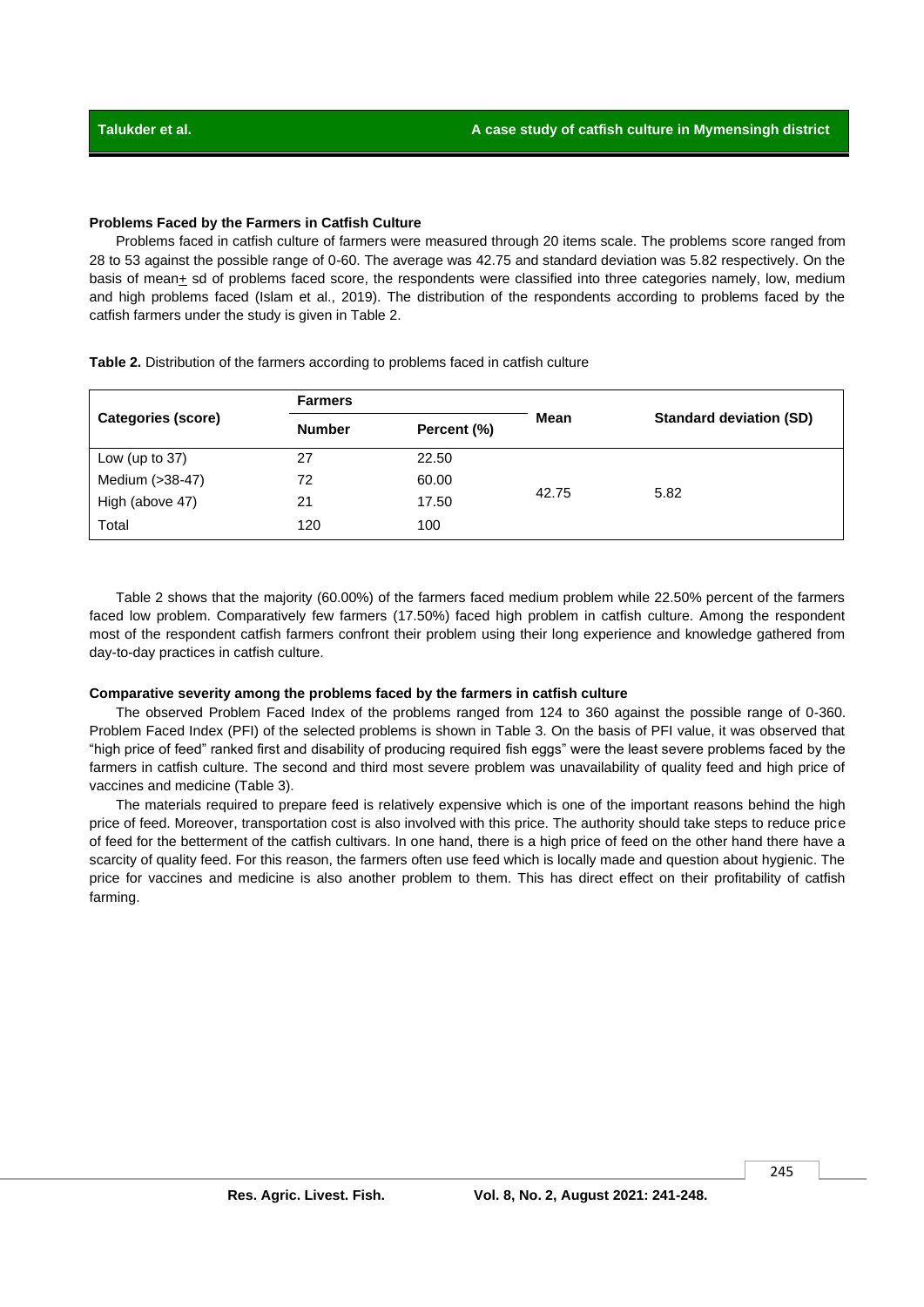### **Problems Faced by the Farmers in Catfish Culture**

Problems faced in catfish culture of farmers were measured through 20 items scale. The problems score ranged from 28 to 53 against the possible range of 0-60. The average was 42.75 and standard deviation was 5.82 respectively. On the basis of mean+ sd of problems faced score, the respondents were classified into three categories namely, low, medium and high problems faced (Islam et al., 2019). The distribution of the respondents according to problems faced by the catfish farmers under the study is given in Table 2.

|                    | <b>Farmers</b> |             |       | <b>Standard deviation (SD)</b> |  |  |
|--------------------|----------------|-------------|-------|--------------------------------|--|--|
| Categories (score) | <b>Number</b>  | Percent (%) | Mean  |                                |  |  |
| Low (up to $37$ )  | 27             | 22.50       |       |                                |  |  |
| Medium (>38-47)    | 72             | 60.00       |       |                                |  |  |
| High (above 47)    | 21             | 17.50       | 42.75 | 5.82                           |  |  |
| Total              | 120            | 100         |       |                                |  |  |

**Table 2.** Distribution of the farmers according to problems faced in catfish culture

Table 2 shows that the majority (60.00%) of the farmers faced medium problem while 22.50% percent of the farmers faced low problem. Comparatively few farmers (17.50%) faced high problem in catfish culture. Among the respondent most of the respondent catfish farmers confront their problem using their long experience and knowledge gathered from day-to-day practices in catfish culture.

### **Comparative severity among the problems faced by the farmers in catfish culture**

The observed Problem Faced Index of the problems ranged from 124 to 360 against the possible range of 0-360. Problem Faced Index (PFI) of the selected problems is shown in Table 3. On the basis of PFI value, it was observed that "high price of feed" ranked first and disability of producing required fish eggs" were the least severe problems faced by the farmers in catfish culture. The second and third most severe problem was unavailability of quality feed and high price of vaccines and medicine (Table 3).

The materials required to prepare feed is relatively expensive which is one of the important reasons behind the high price of feed. Moreover, transportation cost is also involved with this price. The authority should take steps to reduce price of feed for the betterment of the catfish cultivars. In one hand, there is a high price of feed on the other hand there have a scarcity of quality feed. For this reason, the farmers often use feed which is locally made and question about hygienic. The price for vaccines and medicine is also another problem to them. This has direct effect on their profitability of catfish farming.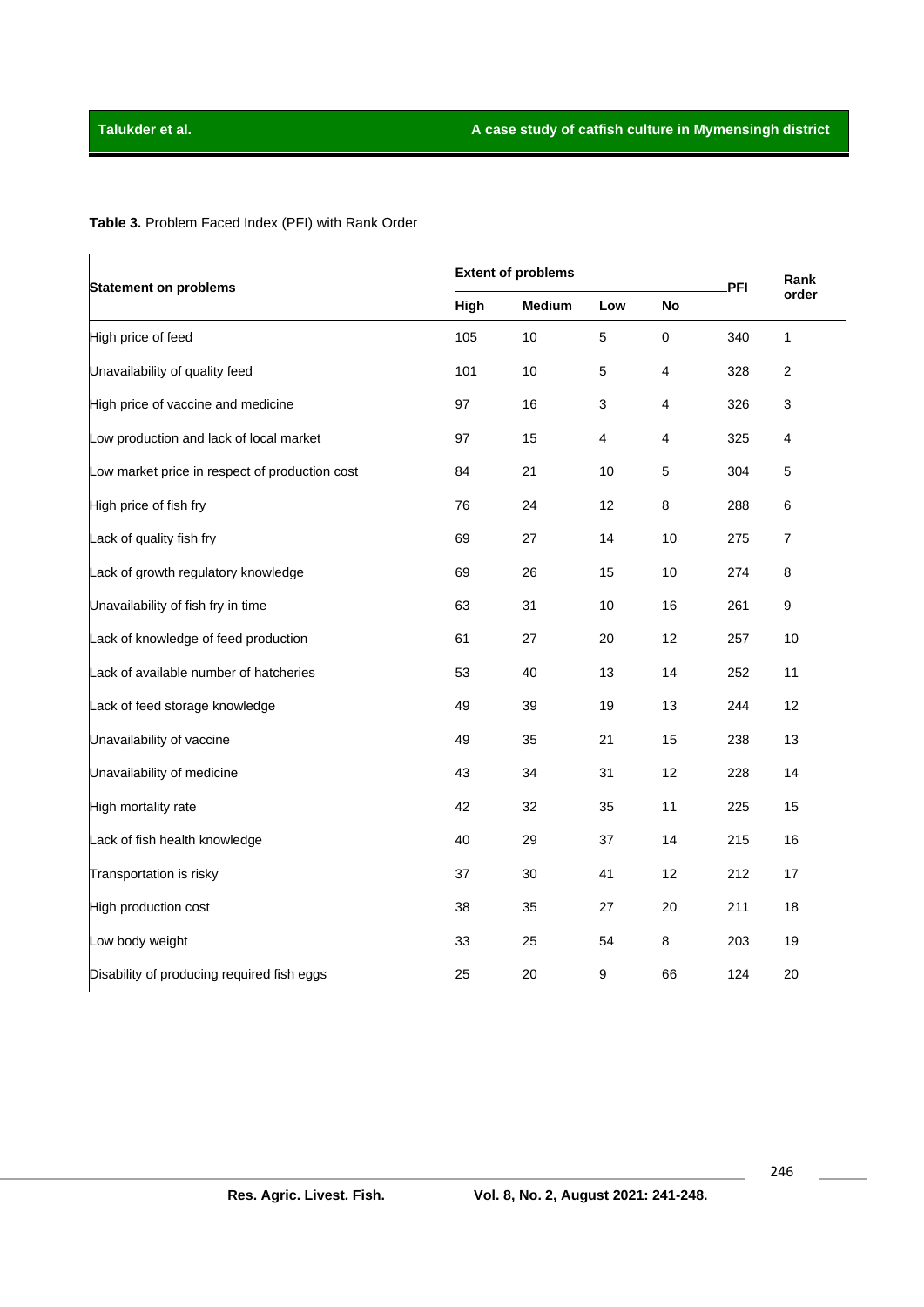**Table 3.** Problem Faced Index (PFI) with Rank Order

| <b>Statement on problems</b>                   | <b>Extent of problems</b> |               |                 |           | PFI | Rank           |
|------------------------------------------------|---------------------------|---------------|-----------------|-----------|-----|----------------|
|                                                | High                      | <b>Medium</b> | Low             | No        |     | order          |
| High price of feed                             | 105                       | 10            | 5               | $\pmb{0}$ | 340 | 1              |
| Unavailability of quality feed                 | 101                       | 10            | 5               | 4         | 328 | $\overline{2}$ |
| High price of vaccine and medicine             | 97                        | 16            | 3               | 4         | 326 | 3              |
| Low production and lack of local market        | 97                        | 15            | 4               | 4         | 325 | 4              |
| Low market price in respect of production cost | 84                        | 21            | 10              | 5         | 304 | 5              |
| High price of fish fry                         | 76                        | 24            | 12 <sup>2</sup> | 8         | 288 | 6              |
| Lack of quality fish fry                       | 69                        | 27            | 14              | 10        | 275 | $\overline{7}$ |
| Lack of growth regulatory knowledge            | 69                        | 26            | 15              | 10        | 274 | 8              |
| Unavailability of fish fry in time             | 63                        | 31            | 10              | 16        | 261 | 9              |
| Lack of knowledge of feed production           | 61                        | 27            | 20              | 12        | 257 | 10             |
| Lack of available number of hatcheries         | 53                        | 40            | 13              | 14        | 252 | 11             |
| Lack of feed storage knowledge                 | 49                        | 39            | 19              | 13        | 244 | 12             |
| Unavailability of vaccine                      | 49                        | 35            | 21              | 15        | 238 | 13             |
| Unavailability of medicine                     | 43                        | 34            | 31              | 12        | 228 | 14             |
| High mortality rate                            | 42                        | 32            | 35              | 11        | 225 | 15             |
| Lack of fish health knowledge                  | 40                        | 29            | 37              | 14        | 215 | 16             |
| Transportation is risky                        | 37                        | 30            | 41              | 12        | 212 | 17             |
| High production cost                           | 38                        | 35            | 27              | 20        | 211 | 18             |
| Low body weight                                | 33                        | 25            | 54              | 8         | 203 | 19             |
| Disability of producing required fish eggs     | 25                        | 20            | 9               | 66        | 124 | 20             |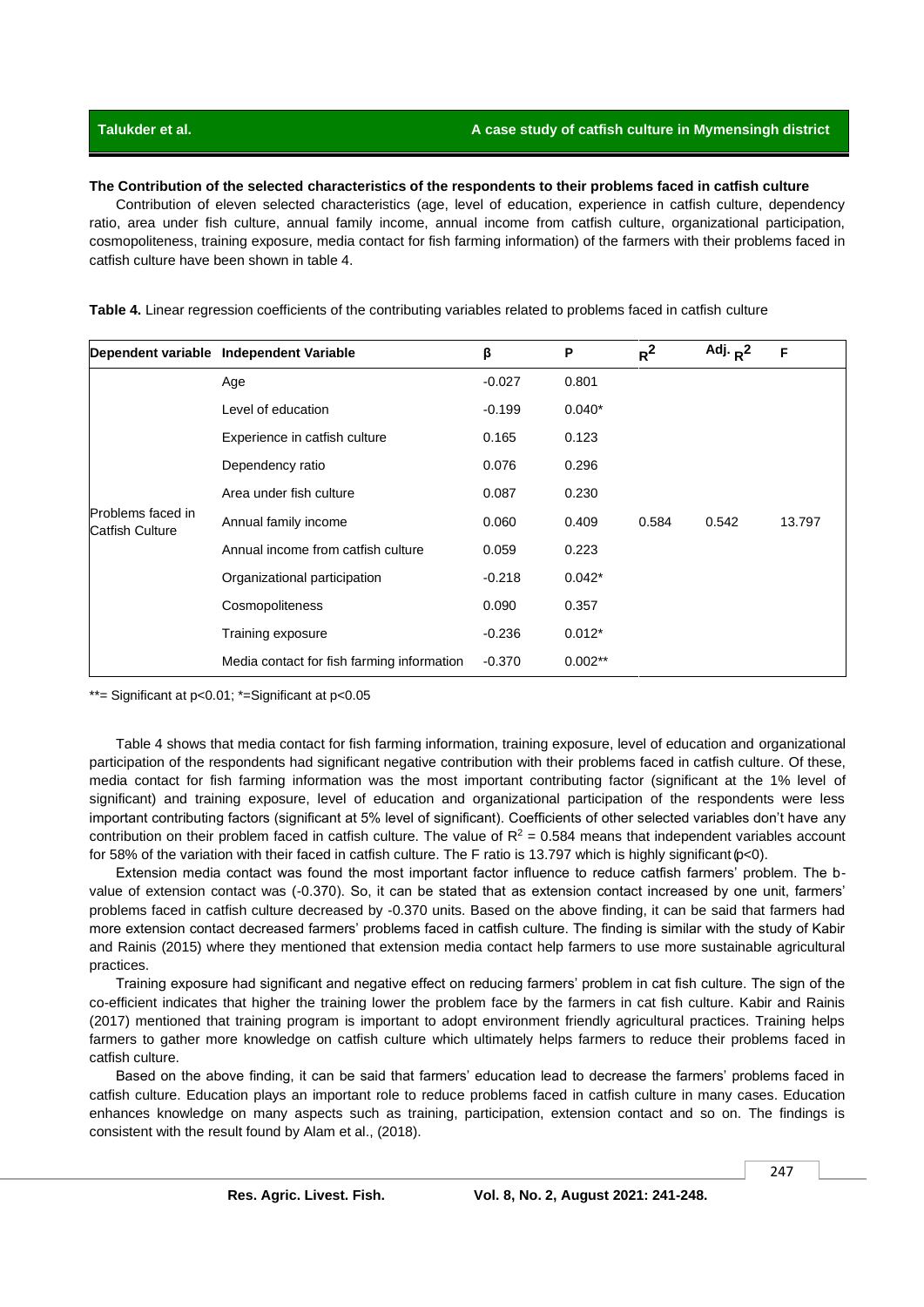**The Contribution of the selected characteristics of the respondents to their problems faced in catfish culture**

Contribution of eleven selected characteristics (age, level of education, experience in catfish culture, dependency ratio, area under fish culture, annual family income, annual income from catfish culture, organizational participation, cosmopoliteness, training exposure, media contact for fish farming information) of the farmers with their problems faced in catfish culture have been shown in table 4.

|                                      | Dependent variable Independent Variable    | β        | P         | $R^2$ | Adj. $R^2$ | F      |
|--------------------------------------|--------------------------------------------|----------|-----------|-------|------------|--------|
| Problems faced in<br>Catfish Culture | Age                                        | $-0.027$ | 0.801     |       |            |        |
|                                      | Level of education                         | $-0.199$ | $0.040*$  |       |            |        |
|                                      | Experience in catfish culture              | 0.165    | 0.123     |       |            |        |
|                                      | Dependency ratio                           | 0.076    | 0.296     |       |            |        |
|                                      | Area under fish culture                    | 0.087    | 0.230     |       |            |        |
|                                      | Annual family income                       | 0.060    | 0.409     | 0.584 | 0.542      | 13.797 |
|                                      | Annual income from catfish culture         | 0.059    | 0.223     |       |            |        |
|                                      | Organizational participation               | $-0.218$ | $0.042*$  |       |            |        |
|                                      | Cosmopoliteness                            | 0.090    | 0.357     |       |            |        |
|                                      | Training exposure                          | $-0.236$ | $0.012*$  |       |            |        |
|                                      | Media contact for fish farming information | $-0.370$ | $0.002**$ |       |            |        |

**Table 4.** Linear regression coefficients of the contributing variables related to problems faced in catfish culture

\*\*= Significant at p<0.01; \*=Significant at p<0.05

Table 4 shows that media contact for fish farming information, training exposure, level of education and organizational participation of the respondents had significant negative contribution with their problems faced in catfish culture. Of these, media contact for fish farming information was the most important contributing factor (significant at the 1% level of significant) and training exposure, level of education and organizational participation of the respondents were less important contributing factors (significant at 5% level of significant). Coefficients of other selected variables don't have any contribution on their problem faced in catfish culture. The value of  $R^2 = 0.584$  means that independent variables account for 58% of the variation with their faced in catfish culture. The F ratio is 13.797 which is highly significant (p<0).

Extension media contact was found the most important factor influence to reduce catfish farmers' problem. The bvalue of extension contact was (-0.370). So, it can be stated that as extension contact increased by one unit, farmers' problems faced in catfish culture decreased by -0.370 units. Based on the above finding, it can be said that farmers had more extension contact decreased farmers' problems faced in catfish culture. The finding is similar with the study of Kabir and Rainis (2015) where they mentioned that extension media contact help farmers to use more sustainable agricultural practices.

Training exposure had significant and negative effect on reducing farmers' problem in cat fish culture. The sign of the co-efficient indicates that higher the training lower the problem face by the farmers in cat fish culture. Kabir and Rainis (2017) mentioned that training program is important to adopt environment friendly agricultural practices. Training helps farmers to gather more knowledge on catfish culture which ultimately helps farmers to reduce their problems faced in catfish culture.

Based on the above finding, it can be said that farmers' education lead to decrease the farmers' problems faced in catfish culture. Education plays an important role to reduce problems faced in catfish culture in many cases. Education enhances knowledge on many aspects such as training, participation, extension contact and so on. The findings is consistent with the result found by Alam et al., (2018).